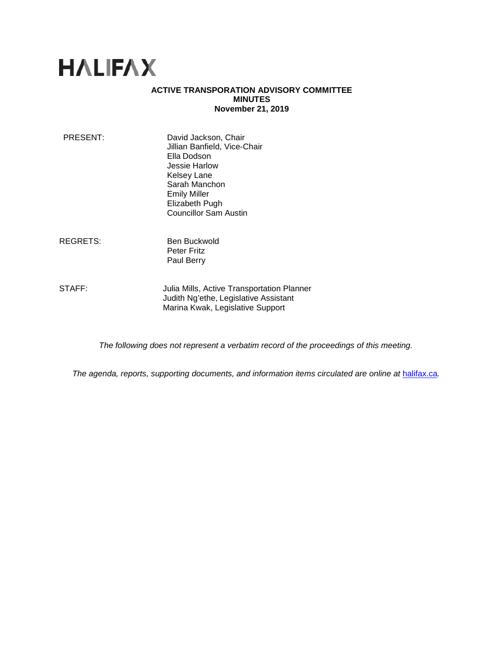# **HALIFAX**

## **ACTIVE TRANSPORATION ADVISORY COMMITTEE MINUTES November 21, 2019**

| PRESENT: | David Jackson, Chair<br>Jillian Banfield, Vice-Chair<br>Ella Dodson |
|----------|---------------------------------------------------------------------|
|          | Jessie Harlow                                                       |
|          | <b>Kelsey Lane</b>                                                  |
|          | Sarah Manchon                                                       |
|          | <b>Emily Miller</b>                                                 |
|          | Elizabeth Pugh                                                      |
|          | <b>Councillor Sam Austin</b>                                        |
|          |                                                                     |

REGRETS: Ben Buckwold Peter Fritz Paul Berry

STAFF: **Julia Mills, Active Transportation Planner** Judith Ng'ethe, Legislative Assistant Marina Kwak, Legislative Support

*The following does not represent a verbatim record of the proceedings of this meeting.*

*The agenda, reports, supporting documents, and information items circulated are online at [halifax.ca](http://www.halifax.ca/).*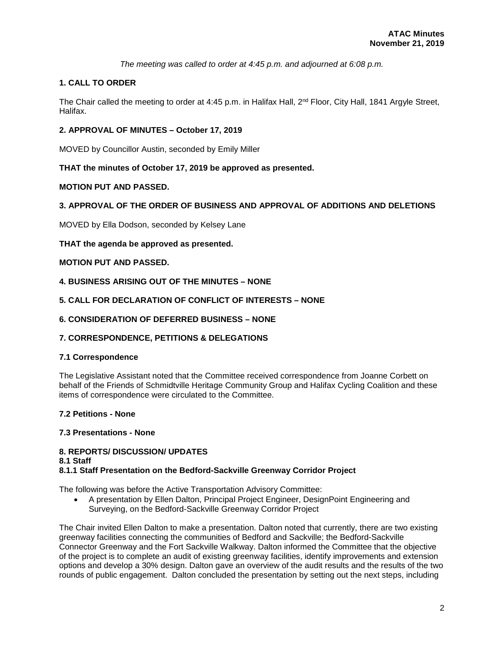*The meeting was called to order at 4:45 p.m. and adjourned at 6:08 p.m.*

# **1. CALL TO ORDER**

The Chair called the meeting to order at 4:45 p.m. in Halifax Hall, 2<sup>nd</sup> Floor, City Hall, 1841 Argyle Street, Halifax.

## **2. APPROVAL OF MINUTES – October 17, 2019**

MOVED by Councillor Austin, seconded by Emily Miller

## **THAT the minutes of October 17, 2019 be approved as presented.**

## **MOTION PUT AND PASSED.**

## **3. APPROVAL OF THE ORDER OF BUSINESS AND APPROVAL OF ADDITIONS AND DELETIONS**

MOVED by Ella Dodson, seconded by Kelsey Lane

## **THAT the agenda be approved as presented.**

## **MOTION PUT AND PASSED.**

**4. BUSINESS ARISING OUT OF THE MINUTES – NONE**

## **5. CALL FOR DECLARATION OF CONFLICT OF INTERESTS – NONE**

## **6. CONSIDERATION OF DEFERRED BUSINESS – NONE**

#### **7. CORRESPONDENCE, PETITIONS & DELEGATIONS**

#### **7.1 Correspondence**

The Legislative Assistant noted that the Committee received correspondence from Joanne Corbett on behalf of the Friends of Schmidtville Heritage Community Group and Halifax Cycling Coalition and these items of correspondence were circulated to the Committee.

#### **7.2 Petitions - None**

#### **7.3 Presentations - None**

## **8. REPORTS/ DISCUSSION/ UPDATES**

#### **8.1 Staff**

## **8.1.1 Staff Presentation on the Bedford-Sackville Greenway Corridor Project**

The following was before the Active Transportation Advisory Committee:

• A presentation by Ellen Dalton, Principal Project Engineer, DesignPoint Engineering and Surveying, on the Bedford-Sackville Greenway Corridor Project

The Chair invited Ellen Dalton to make a presentation. Dalton noted that currently, there are two existing greenway facilities connecting the communities of Bedford and Sackville; the Bedford-Sackville Connector Greenway and the Fort Sackville Walkway. Dalton informed the Committee that the objective of the project is to complete an audit of existing greenway facilities, identify improvements and extension options and develop a 30% design. Dalton gave an overview of the audit results and the results of the two rounds of public engagement. Dalton concluded the presentation by setting out the next steps, including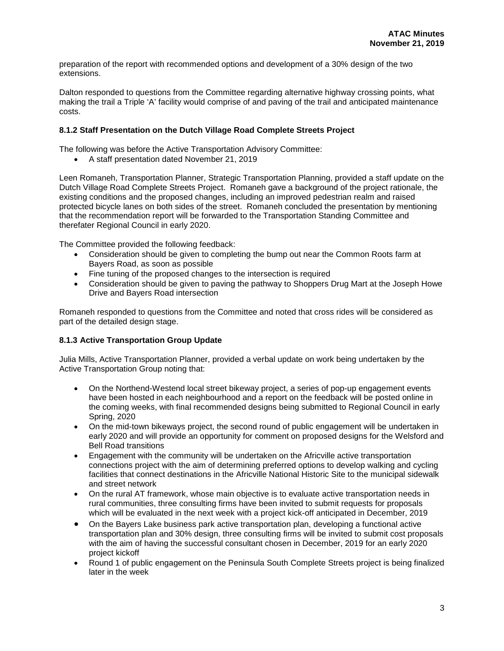preparation of the report with recommended options and development of a 30% design of the two extensions.

Dalton responded to questions from the Committee regarding alternative highway crossing points, what making the trail a Triple 'A' facility would comprise of and paving of the trail and anticipated maintenance costs.

## **8.1.2 Staff Presentation on the Dutch Village Road Complete Streets Project**

The following was before the Active Transportation Advisory Committee:

• A staff presentation dated November 21, 2019

Leen Romaneh, Transportation Planner, Strategic Transportation Planning, provided a staff update on the Dutch Village Road Complete Streets Project. Romaneh gave a background of the project rationale, the existing conditions and the proposed changes, including an improved pedestrian realm and raised protected bicycle lanes on both sides of the street. Romaneh concluded the presentation by mentioning that the recommendation report will be forwarded to the Transportation Standing Committee and therefater Regional Council in early 2020.

The Committee provided the following feedback:

- Consideration should be given to completing the bump out near the Common Roots farm at Bayers Road, as soon as possible
- Fine tuning of the proposed changes to the intersection is required
- Consideration should be given to paving the pathway to Shoppers Drug Mart at the Joseph Howe Drive and Bayers Road intersection

Romaneh responded to questions from the Committee and noted that cross rides will be considered as part of the detailed design stage.

#### **8.1.3 Active Transportation Group Update**

Julia Mills, Active Transportation Planner, provided a verbal update on work being undertaken by the Active Transportation Group noting that:

- On the Northend-Westend local street bikeway project, a series of pop-up engagement events have been hosted in each neighbourhood and a report on the feedback will be posted online in the coming weeks, with final recommended designs being submitted to Regional Council in early Spring, 2020
- On the mid-town bikeways project, the second round of public engagement will be undertaken in early 2020 and will provide an opportunity for comment on proposed designs for the Welsford and Bell Road transitions
- Engagement with the community will be undertaken on the Africville active transportation connections project with the aim of determining preferred options to develop walking and cycling facilities that connect destinations in the Africville National Historic Site to the municipal sidewalk and street network
- On the rural AT framework, whose main objective is to evaluate active transportation needs in rural communities, three consulting firms have been invited to submit requests for proposals which will be evaluated in the next week with a project kick-off anticipated in December, 2019
- On the Bayers Lake business park active transportation plan, developing a functional active transportation plan and 30% design, three consulting firms will be invited to submit cost proposals with the aim of having the successful consultant chosen in December, 2019 for an early 2020 project kickoff
- Round 1 of public engagement on the Peninsula South Complete Streets project is being finalized later in the week